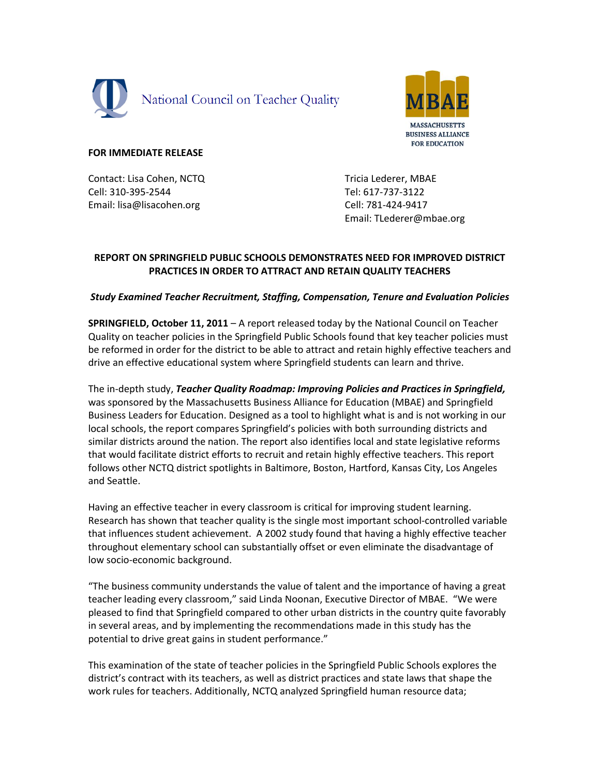



## **FOR IMMEDIATE RELEASE**

Contact: Lisa Cohen, NCTQ Cell: 310-395-2544 Email: lisa@lisacohen.org

Tricia Lederer, MBAE Tel: 617-737-3122 Cell: 781-424-9417 Email: TLederer@mbae.org

# **REPORT ON SPRINGFIELD PUBLIC SCHOOLS DEMONSTRATES NEED FOR IMPROVED DISTRICT PRACTICES IN ORDER TO ATTRACT AND RETAIN QUALITY TEACHERS**

## *Study Examined Teacher Recruitment, Staffing, Compensation, Tenure and Evaluation Policies*

**SPRINGFIELD, October 11, 2011** – A report released today by the National Council on Teacher Quality on teacher policies in the Springfield Public Schools found that key teacher policies must be reformed in order for the district to be able to attract and retain highly effective teachers and drive an effective educational system where Springfield students can learn and thrive.

The in-depth study, *Teacher Quality Roadmap: Improving Policies and Practices in Springfield,* was sponsored by the Massachusetts Business Alliance for Education (MBAE) and Springfield Business Leaders for Education. Designed as a tool to highlight what is and is not working in our local schools, the report compares Springfield's policies with both surrounding districts and similar districts around the nation. The report also identifies local and state legislative reforms that would facilitate district efforts to recruit and retain highly effective teachers. This report follows other NCTQ district spotlights in Baltimore, Boston, Hartford, Kansas City, Los Angeles and Seattle.

Having an effective teacher in every classroom is critical for improving student learning. Research has shown that teacher quality is the single most important school-controlled variable that influences student achievement. A 2002 study found that having a highly effective teacher throughout elementary school can substantially offset or even eliminate the disadvantage of low socio-economic background.

"The business community understands the value of talent and the importance of having a great teacher leading every classroom," said Linda Noonan, Executive Director of MBAE. "We were pleased to find that Springfield compared to other urban districts in the country quite favorably in several areas, and by implementing the recommendations made in this study has the potential to drive great gains in student performance."

This examination of the state of teacher policies in the Springfield Public Schools explores the district's contract with its teachers, as well as district practices and state laws that shape the work rules for teachers. Additionally, NCTQ analyzed Springfield human resource data;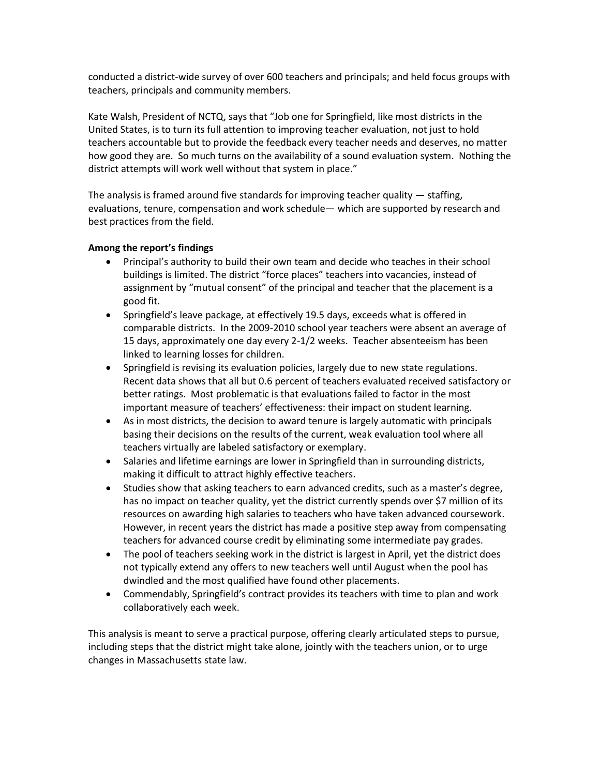conducted a district-wide survey of over 600 teachers and principals; and held focus groups with teachers, principals and community members.

Kate Walsh, President of NCTQ, says that "Job one for Springfield, like most districts in the United States, is to turn its full attention to improving teacher evaluation, not just to hold teachers accountable but to provide the feedback every teacher needs and deserves, no matter how good they are. So much turns on the availability of a sound evaluation system. Nothing the district attempts will work well without that system in place."

The analysis is framed around five standards for improving teacher quality — staffing, evaluations, tenure, compensation and work schedule— which are supported by research and best practices from the field.

## **Among the report's findings**

- Principal's authority to build their own team and decide who teaches in their school buildings is limited. The district "force places" teachers into vacancies, instead of assignment by "mutual consent" of the principal and teacher that the placement is a good fit.
- Springfield's leave package, at effectively 19.5 days, exceeds what is offered in comparable districts. In the 2009-2010 school year teachers were absent an average of 15 days, approximately one day every 2-1/2 weeks. Teacher absenteeism has been linked to learning losses for children.
- Springfield is revising its evaluation policies, largely due to new state regulations. Recent data shows that all but 0.6 percent of teachers evaluated received satisfactory or better ratings. Most problematic is that evaluations failed to factor in the most important measure of teachers' effectiveness: their impact on student learning.
- As in most districts, the decision to award tenure is largely automatic with principals basing their decisions on the results of the current, weak evaluation tool where all teachers virtually are labeled satisfactory or exemplary.
- Salaries and lifetime earnings are lower in Springfield than in surrounding districts, making it difficult to attract highly effective teachers.
- Studies show that asking teachers to earn advanced credits, such as a master's degree, has no impact on teacher quality, yet the district currently spends over \$7 million of its resources on awarding high salaries to teachers who have taken advanced coursework. However, in recent years the district has made a positive step away from compensating teachers for advanced course credit by eliminating some intermediate pay grades.
- The pool of teachers seeking work in the district is largest in April, yet the district does not typically extend any offers to new teachers well until August when the pool has dwindled and the most qualified have found other placements.
- Commendably, Springfield's contract provides its teachers with time to plan and work collaboratively each week.

This analysis is meant to serve a practical purpose, offering clearly articulated steps to pursue, including steps that the district might take alone, jointly with the teachers union, or to urge changes in Massachusetts state law.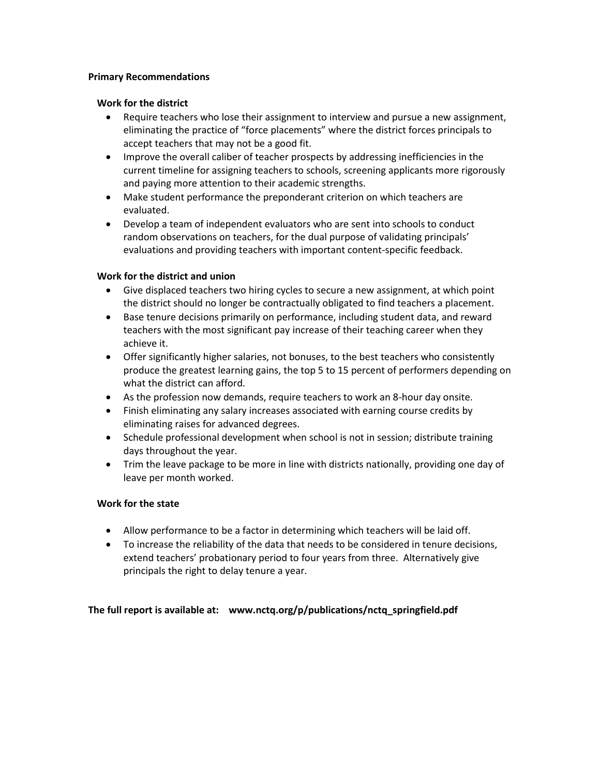#### **Primary Recommendations**

#### **Work for the district**

- Require teachers who lose their assignment to interview and pursue a new assignment, eliminating the practice of "force placements" where the district forces principals to accept teachers that may not be a good fit.
- Improve the overall caliber of teacher prospects by addressing inefficiencies in the current timeline for assigning teachers to schools, screening applicants more rigorously and paying more attention to their academic strengths.
- Make student performance the preponderant criterion on which teachers are evaluated.
- Develop a team of independent evaluators who are sent into schools to conduct random observations on teachers, for the dual purpose of validating principals' evaluations and providing teachers with important content-specific feedback.

## **Work for the district and union**

- Give displaced teachers two hiring cycles to secure a new assignment, at which point the district should no longer be contractually obligated to find teachers a placement.
- Base tenure decisions primarily on performance, including student data, and reward teachers with the most significant pay increase of their teaching career when they achieve it.
- Offer significantly higher salaries, not bonuses, to the best teachers who consistently produce the greatest learning gains, the top 5 to 15 percent of performers depending on what the district can afford.
- As the profession now demands, require teachers to work an 8-hour day onsite.
- Finish eliminating any salary increases associated with earning course credits by eliminating raises for advanced degrees.
- Schedule professional development when school is not in session; distribute training days throughout the year.
- Trim the leave package to be more in line with districts nationally, providing one day of leave per month worked.

## **Work for the state**

- Allow performance to be a factor in determining which teachers will be laid off.
- To increase the reliability of the data that needs to be considered in tenure decisions, extend teachers' probationary period to four years from three. Alternatively give principals the right to delay tenure a year.

## **The full report is available at: www.nctq.org/p/publications/nctq\_springfield.pdf**